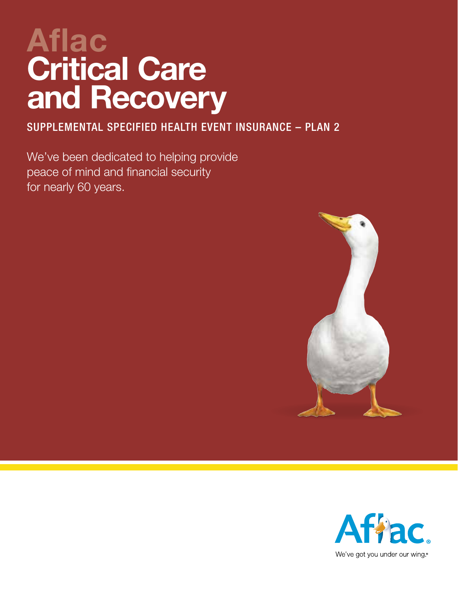# **Aflac Critical Care and Recovery**

SUPPLEMENTAL SPECIFIED HEALTH EVENT INSURANCE – PLAN 2

We've been dedicated to helping provide peace of mind and financial security for nearly 60 years.



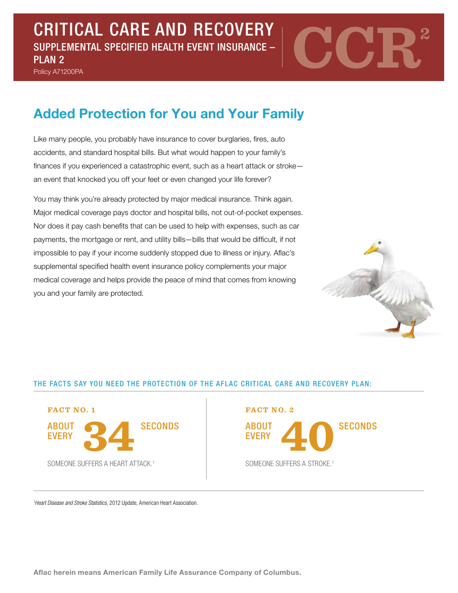SUPPLEMENTAL SPECIFIED HEALTH EVENT INSURANCE –

Policy A71200PA



# **Added Protection for You and Your Family**

Like many people, you probably have insurance to cover burglaries, fires, auto accidents, and standard hospital bills. But what would happen to your family's finances if you experienced a catastrophic event, such as a heart attack or stroke an event that knocked you off your feet or even changed your life forever?

You may think you're already protected by major medical insurance. Think again. Major medical coverage pays doctor and hospital bills, not out-of-pocket expenses. Nor does it pay cash benefits that can be used to help with expenses, such as car payments, the mortgage or rent, and utility bills—bills that would be difficult, if not impossible to pay if your income suddenly stopped due to illness or injury. Aflac's supplemental specified health event insurance policy complements your major medical coverage and helps provide the peace of mind that comes from knowing you and your family are protected.



#### THE FACTS SAY YOU NEED THE PROTECTION OF THE AFLAC CRITICAL CARE AND RECOVERY PLAN:



ABOUT **EVERY** SECONDS ABOUT A SECONDS

<sup>1</sup>Heart Disease and Stroke Statistics, 2012 Update, American Heart Association.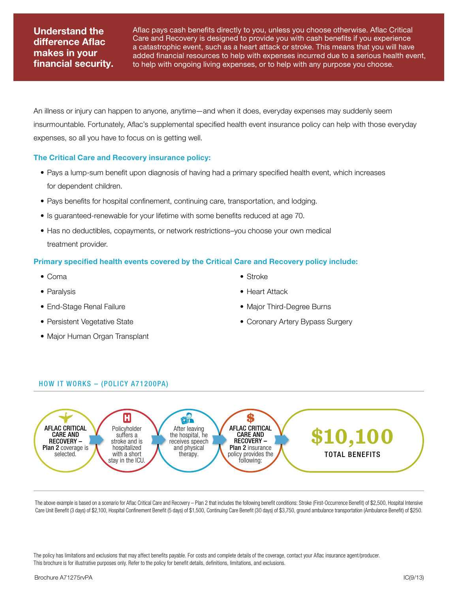### **Understand the difference Aflac makes in your financial security.**

Aflac pays cash benefits directly to you, unless you choose otherwise. Aflac Critical Care and Recovery is designed to provide you with cash benefits if you experience a catastrophic event, such as a heart attack or stroke. This means that you will have added financial resources to help with expenses incurred due to a serious health event, to help with ongoing living expenses, or to help with any purpose you choose.

An illness or injury can happen to anyone, anytime—and when it does, everyday expenses may suddenly seem insurmountable. Fortunately, Aflac's supplemental specified health event insurance policy can help with those everyday expenses, so all you have to focus on is getting well.

#### **The Critical Care and Recovery insurance policy:**

- Pays a lump-sum benefit upon diagnosis of having had a primary specified health event, which increases for dependent children.
- Pays benefits for hospital confinement, continuing care, transportation, and lodging.
- Is guaranteed-renewable for your lifetime with some benefits reduced at age 70.
- Has no deductibles, copayments, or network restrictions–you choose your own medical treatment provider.

#### **Primary specified health events covered by the Critical Care and Recovery policy include:**

- Coma
- Paralysis
- End-Stage Renal Failure
- Persistent Vegetative State
- Major Human Organ Transplant
- Stroke
- Heart Attack
- Major Third-Degree Burns
- Coronary Artery Bypass Surgery

#### how it WORKS – (Policy A71200PA)



The above example is based on a scenario for Aflac Critical Care and Recovery – Plan 2 that includes the following benefit conditions: Stroke (First-Occurrence Benefit) of \$2,500, Hospital Intensive Care Unit Benefit (3 days) of \$2,100, Hospital Confinement Benefit (5 days) of \$1,500, Continuing Care Benefit (30 days) of \$3,750, ground ambulance transportation (Ambulance Benefit) of \$250.

The policy has limitations and exclusions that may affect benefits payable. For costs and complete details of the coverage, contact your Aflac insurance agent/producer. This brochure is for illustrative purposes only. Refer to the policy for benefit details, definitions, limitations, and exclusions.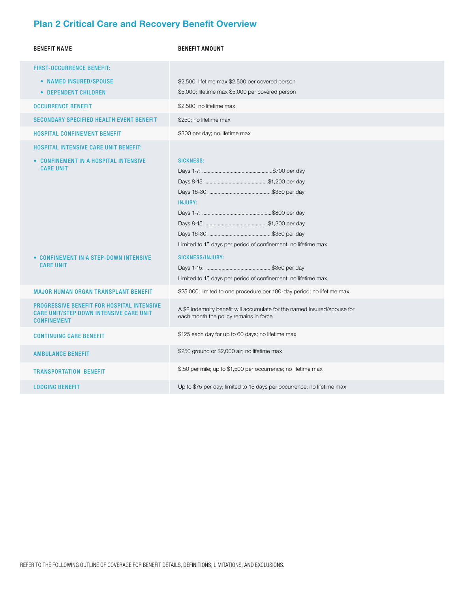## **Plan 2 Critical Care and Recovery Benefit Overview**

| <b>BENEFIT NAME</b>                                                                                                                                                     | <b>BENEFIT AMOUNT</b>                                                                                                                                                                           |
|-------------------------------------------------------------------------------------------------------------------------------------------------------------------------|-------------------------------------------------------------------------------------------------------------------------------------------------------------------------------------------------|
| <b>FIRST-OCCURRENCE BENEFIT:</b><br>• NAMED INSURED/SPOUSE<br>• DEPENDENT CHILDREN                                                                                      | \$2,500; lifetime max \$2,500 per covered person<br>\$5,000; lifetime max \$5,000 per covered person                                                                                            |
| <b>OCCURRENCE BENEFIT</b>                                                                                                                                               | \$2,500; no lifetime max                                                                                                                                                                        |
| <b>SECONDARY SPECIFIED HEALTH EVENT BENEFIT</b>                                                                                                                         | \$250; no lifetime max                                                                                                                                                                          |
| <b>HOSPITAL CONFINEMENT BENEFIT</b>                                                                                                                                     | \$300 per day; no lifetime max                                                                                                                                                                  |
| <b>HOSPITAL INTENSIVE CARE UNIT BENEFIT:</b><br>• CONFINEMENT IN A HOSPITAL INTENSIVE<br><b>CARE UNIT</b><br>• CONFINEMENT IN A STEP-DOWN INTENSIVE<br><b>CARE UNIT</b> | <b>SICKNESS:</b><br><b>INJURY:</b><br>Limited to 15 days per period of confinement; no lifetime max<br><b>SICKNESS/INJURY:</b><br>Limited to 15 days per period of confinement; no lifetime max |
| <b>MAJOR HUMAN ORGAN TRANSPLANT BENEFIT</b>                                                                                                                             | \$25,000; limited to one procedure per 180-day period; no lifetime max                                                                                                                          |
| <b>PROGRESSIVE BENEFIT FOR HOSPITAL INTENSIVE</b><br><b>CARE UNIT/STEP DOWN INTENSIVE CARE UNIT</b><br><b>CONFINEMENT</b>                                               | A \$2 indemnity benefit will accumulate for the named insured/spouse for<br>each month the policy remains in force                                                                              |
| <b>CONTINUING CARE BENEFIT</b>                                                                                                                                          | \$125 each day for up to 60 days; no lifetime max                                                                                                                                               |
| <b>AMBULANCE BENEFIT</b>                                                                                                                                                | \$250 ground or \$2,000 air; no lifetime max                                                                                                                                                    |
| <b>TRANSPORTATION BENEFIT</b>                                                                                                                                           | \$.50 per mile; up to \$1,500 per occurrence; no lifetime max                                                                                                                                   |
| <b>LODGING BENEFIT</b>                                                                                                                                                  | Up to \$75 per day; limited to 15 days per occurrence; no lifetime max                                                                                                                          |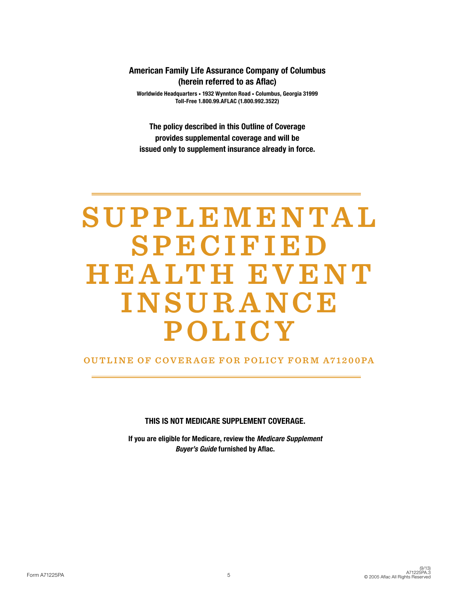#### American Family Life Assurance Company of Columbus (herein referred to as Aflac)

Worldwide Headquarters • 1932 Wynnton Road • Columbus, Georgia 31999 Toll-Free 1.800.99.AFLAC (1.800.992.3522)

The policy described in this Outline of Coverage provides supplemental coverage and will be issued only to supplement insurance already in force.

# **S U P P L E M E N TA L S P E C I F I E D H E A LT H E V E N T I N S U R A N C E POLICY**

#### **Outline of Coverage for Policy FOR M A71200PA**

THIS IS NOT MEDICARE SUPPLEMENT COVERAGE.

If you are eligible for Medicare, review the Medicare Supplement Buyer's Guide furnished by Aflac.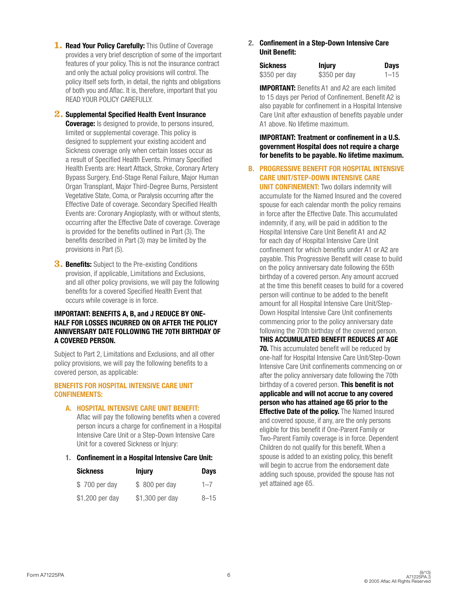- 1. Read Your Policy Carefully: This Outline of Coverage provides a very brief description of some of the important features of your policy. This is not the insurance contract and only the actual policy provisions will control. The policy itself sets forth, in detail, the rights and obligations of both you and Aflac. It is, therefore, important that you READ YOUR POLICY CAREFULLY.
- **2.** Supplemental Specified Health Event Insurance **Coverage:** Is designed to provide, to persons insured, limited or supplemental coverage. This policy is designed to supplement your existing accident and Sickness coverage only when certain losses occur as a result of Specified Health Events. Primary Specified Health Events are: Heart Attack, Stroke, Coronary Artery Bypass Surgery, End-Stage Renal Failure, Major Human Organ Transplant, Major Third-Degree Burns, Persistent Vegetative State, Coma, or Paralysis occurring after the Effective Date of coverage. Secondary Specified Health Events are: Coronary Angioplasty, with or without stents, occurring after the Effective Date of coverage. Coverage is provided for the benefits outlined in Part (3). The benefits described in Part (3) may be limited by the provisions in Part (5).
- **3. Benefits:** Subject to the Pre-existing Conditions provision, if applicable, Limitations and Exclusions, and all other policy provisions, we will pay the following benefits for a covered Specified Health Event that occurs while coverage is in force.

#### IMPORTANT: BENEFITS A, B, and J REDUCE BY ONE-HALF FOR LOSSES INCURRED ON OR AFTER THE POLICY ANNIVERSARY DATE FOLLOWING THE 70TH BIRTHDAY OF A COVERED PERSON.

Subject to Part 2, Limitations and Exclusions, and all other policy provisions, we will pay the following benefits to a covered person, as applicable:

#### BENEFITS FOR HOSPITAL INTENSIVE CARE UNIT CONFINEMENTS:

A. HOSPITAL INTENSIVE CARE UNIT BENEFIT:

Aflac will pay the following benefits when a covered person incurs a charge for confinement in a Hospital Intensive Care Unit or a Step-Down Intensive Care Unit for a covered Sickness or Injury:

1. Confinement in a Hospital Intensive Care Unit:

| <b>Sickness</b> | <b>Injury</b>   | <b>Days</b> |
|-----------------|-----------------|-------------|
| \$700 per day   | \$ 800 per day  | $1 - 7$     |
| \$1,200 per day | \$1,300 per day | $8 - 15$    |

2. Confinement in a Step-Down Intensive Care Unit Benefit:

| <b>Sickness</b> | <b>Injury</b> | <b>Days</b> |
|-----------------|---------------|-------------|
| \$350 per day   | \$350 per day | $1 - 15$    |

IMPORTANT: Benefits A1 and A2 are each limited to 15 days per Period of Confinement. Benefit A2 is also payable for confinement in a Hospital Intensive Care Unit after exhaustion of benefits payable under A1 above. No lifetime maximum.

IMPORTANT: Treatment or confinement in a U.S. government Hospital does not require a charge for benefits to be payable. No lifetime maximum.

B. PROGRESSIVE BENEFIT FOR HOSPITAL INTENSIVE CARE UNIT/STEP-DOWN INTENSIVE CARE

**UNIT CONFINEMENT:** Two dollars indemnity will accumulate for the Named Insured and the covered spouse for each calendar month the policy remains in force after the Effective Date. This accumulated indemnity, if any, will be paid in addition to the Hospital Intensive Care Unit Benefit A1 and A2 for each day of Hospital Intensive Care Unit confinement for which benefits under A1 or A2 are payable. This Progressive Benefit will cease to build on the policy anniversary date following the 65th birthday of a covered person. Any amount accrued at the time this benefit ceases to build for a covered person will continue to be added to the benefit amount for all Hospital Intensive Care Unit/Step-Down Hospital Intensive Care Unit confinements commencing prior to the policy anniversary date following the 70th birthday of the covered person.

THIS ACCUMULATED BENEFIT REDUCES AT AGE **70.** This accumulated benefit will be reduced by one-half for Hospital Intensive Care Unit/Step-Down Intensive Care Unit confinements commencing on or after the policy anniversary date following the 70th birthday of a covered person. This benefit is not applicable and will not accrue to any covered person who has attained age 65 prior to the **Effective Date of the policy.** The Named Insured and covered spouse, if any, are the only persons eligible for this benefit if One-Parent Family or Two-Parent Family coverage is in force. Dependent Children do not qualify for this benefit. When a spouse is added to an existing policy, this benefit will begin to accrue from the endorsement date adding such spouse, provided the spouse has not yet attained age 65.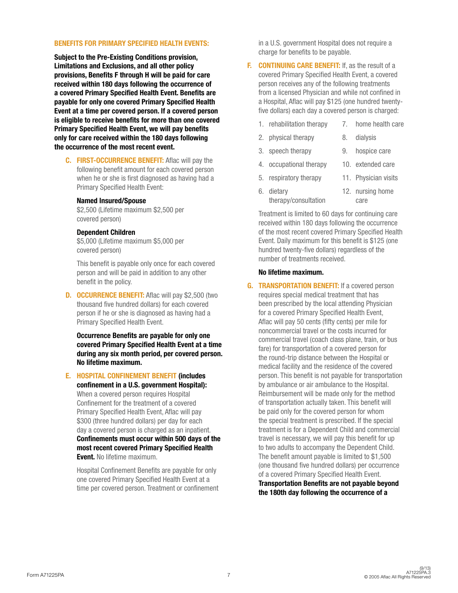#### BENEFITS FOR PRIMARY SPECIFIED HEALTH EVENTS:

Subject to the Pre-Existing Conditions provision, Limitations and Exclusions, and all other policy provisions, Benefits F through H will be paid for care received within 180 days following the occurrence of a covered Primary Specified Health Event. Benefits are payable for only one covered Primary Specified Health Event at a time per covered person. If a covered person is eligible to receive benefits for more than one covered Primary Specified Health Event, we will pay benefits only for care received within the 180 days following the occurrence of the most recent event.

C. FIRST-OCCURRENCE BENEFIT: Aflac will pay the following benefit amount for each covered person when he or she is first diagnosed as having had a Primary Specified Health Event:

#### Named Insured/Spouse

\$2,500 (Lifetime maximum \$2,500 per covered person)

#### Dependent Children

\$5,000 (Lifetime maximum \$5,000 per covered person)

This benefit is payable only once for each covered person and will be paid in addition to any other benefit in the policy.

**D. OCCURRENCE BENEFIT:** Aflac will pay \$2,500 (two thousand five hundred dollars) for each covered person if he or she is diagnosed as having had a Primary Specified Health Event.

Occurrence Benefits are payable for only one covered Primary Specified Health Event at a time during any six month period, per covered person. No lifetime maximum.

E. HOSPITAL CONFINEMENT BENEFIT (includes

confinement in a U.S. government Hospital): When a covered person requires Hospital Confinement for the treatment of a covered Primary Specified Health Event, Aflac will pay \$300 (three hundred dollars) per day for each day a covered person is charged as an inpatient. Confinements must occur within 500 days of the most recent covered Primary Specified Health **Event.** No lifetime maximum.

Hospital Confinement Benefits are payable for only one covered Primary Specified Health Event at a time per covered person. Treatment or confinement in a U.S. government Hospital does not require a charge for benefits to be payable.

- F. CONTINUING CARE BENEFIT: If, as the result of a covered Primary Specified Health Event, a covered person receives any of the following treatments from a licensed Physician and while not confined in a Hospital, Aflac will pay \$125 (one hundred twentyfive dollars) each day a covered person is charged:
	- 1. rehabilitation therapy 7. home health care
	- 2. physical therapy 8. dialysis
	- 3. speech therapy 9. hospice care
	- 4. occupational therapy 10. extended care
	- 5. respiratory therapy 11. Physician visits 6. dietary 12. nursing home
	- therapy/consultation care

Treatment is limited to 60 days for continuing care received within 180 days following the occurrence of the most recent covered Primary Specified Health Event. Daily maximum for this benefit is \$125 (one hundred twenty-five dollars) regardless of the number of treatments received.

#### No lifetime maximum.

G. TRANSPORTATION BENEFIT: If a covered person requires special medical treatment that has been prescribed by the local attending Physician for a covered Primary Specified Health Event, Aflac will pay 50 cents (fifty cents) per mile for noncommercial travel or the costs incurred for commercial travel (coach class plane, train, or bus fare) for transportation of a covered person for the round-trip distance between the Hospital or medical facility and the residence of the covered person. This benefit is not payable for transportation by ambulance or air ambulance to the Hospital. Reimbursement will be made only for the method of transportation actually taken. This benefit will be paid only for the covered person for whom the special treatment is prescribed. If the special treatment is for a Dependent Child and commercial travel is necessary, we will pay this benefit for up to two adults to accompany the Dependent Child. The benefit amount payable is limited to \$1,500 (one thousand five hundred dollars) per occurrence of a covered Primary Specified Health Event. Transportation Benefits are not payable beyond the 180th day following the occurrence of a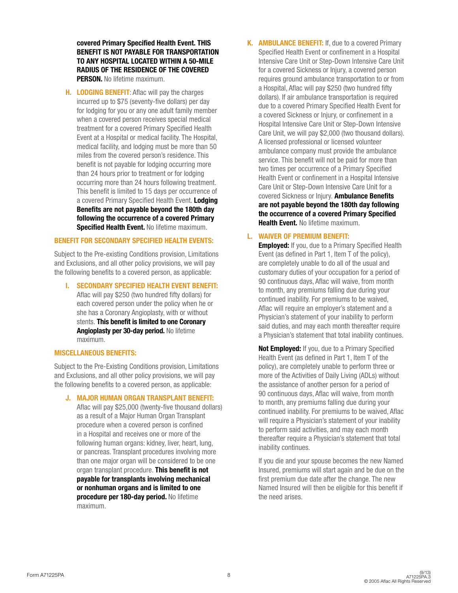covered Primary Specified Health Event. THIS BENEFIT IS NOT PAYABLE FOR TRANSPORTATION TO ANY HOSPITAL LOCATED WITHIN A 50-MILE RADIUS OF THE RESIDENCE OF THE COVERED PERSON. No lifetime maximum.

H. LODGING BENEFIT: Aflac will pay the charges incurred up to \$75 (seventy-five dollars) per day for lodging for you or any one adult family member when a covered person receives special medical treatment for a covered Primary Specified Health Event at a Hospital or medical facility. The Hospital, medical facility, and lodging must be more than 50 miles from the covered person's residence. This benefit is not payable for lodging occurring more than 24 hours prior to treatment or for lodging occurring more than 24 hours following treatment. This benefit is limited to 15 days per occurrence of a covered Primary Specified Health Event. Lodging Benefits are not payable beyond the 180th day following the occurrence of a covered Primary **Specified Health Event. No lifetime maximum.** 

#### BENEFIT FOR SECONDARY SPECIFIED HEALTH EVENTS:

Subject to the Pre-existing Conditions provision, Limitations and Exclusions, and all other policy provisions, we will pay the following benefits to a covered person, as applicable:

I. SECONDARY SPECIFIED HEALTH EVENT BENEFIT: Aflac will pay \$250 (two hundred fifty dollars) for each covered person under the policy when he or she has a Coronary Angioplasty, with or without stents. This benefit is limited to one Coronary Angioplasty per 30-day period. No lifetime maximum.

#### MISCELLANEOUS BENEFITS:

Subject to the Pre-Existing Conditions provision, Limitations and Exclusions, and all other policy provisions, we will pay the following benefits to a covered person, as applicable:

#### J. MAJOR HUMAN ORGAN TRANSPLANT BENEFIT:

Aflac will pay \$25,000 (twenty-five thousand dollars) as a result of a Major Human Organ Transplant procedure when a covered person is confined in a Hospital and receives one or more of the following human organs: kidney, liver, heart, lung, or pancreas. Transplant procedures involving more than one major organ will be considered to be one organ transplant procedure. This benefit is not payable for transplants involving mechanical or nonhuman organs and is limited to one procedure per 180-day period. No lifetime maximum.

K. AMBULANCE BENEFIT: If, due to a covered Primary Specified Health Event or confinement in a Hospital Intensive Care Unit or Step-Down Intensive Care Unit for a covered Sickness or Injury, a covered person requires ground ambulance transportation to or from a Hospital, Aflac will pay \$250 (two hundred fifty dollars). If air ambulance transportation is required due to a covered Primary Specified Health Event for a covered Sickness or Injury, or confinement in a Hospital Intensive Care Unit or Step-Down Intensive Care Unit, we will pay \$2,000 (two thousand dollars). A licensed professional or licensed volunteer ambulance company must provide the ambulance service. This benefit will not be paid for more than two times per occurrence of a Primary Specified Health Event or confinement in a Hospital Intensive Care Unit or Step-Down Intensive Care Unit for a covered Sickness or Injury. Ambulance Benefits are not payable beyond the 180th day following the occurrence of a covered Primary Specified Health Event. No lifetime maximum.

#### L. WAIVER OF PREMIUM BENEFIT:

**Employed:** If you, due to a Primary Specified Health Event (as defined in Part 1, Item T of the policy), are completely unable to do all of the usual and customary duties of your occupation for a period of 90 continuous days, Aflac will waive, from month to month, any premiums falling due during your continued inability. For premiums to be waived, Aflac will require an employer's statement and a Physician's statement of your inability to perform said duties, and may each month thereafter require a Physician's statement that total inability continues.

Not Employed: If you, due to a Primary Specified Health Event (as defined in Part 1, Item T of the policy), are completely unable to perform three or more of the Activities of Daily Living (ADLs) without the assistance of another person for a period of 90 continuous days, Aflac will waive, from month to month, any premiums falling due during your continued inability. For premiums to be waived, Aflac will require a Physician's statement of your inability to perform said activities, and may each month thereafter require a Physician's statement that total inability continues.

If you die and your spouse becomes the new Named Insured, premiums will start again and be due on the first premium due date after the change. The new Named Insured will then be eligible for this benefit if the need arises.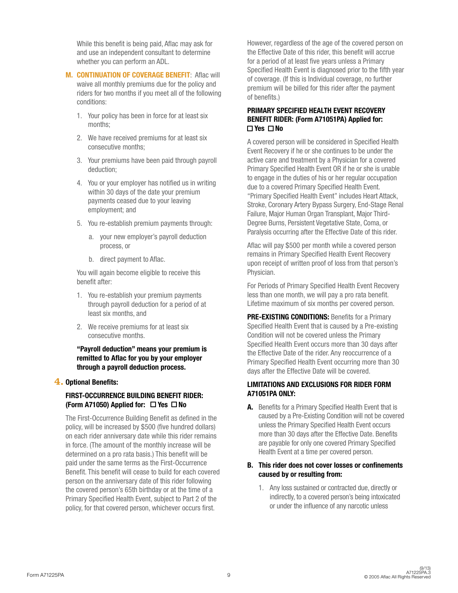While this benefit is being paid, Aflac may ask for and use an independent consultant to determine whether you can perform an ADL.

- M. CONTINUATION OF COVERAGE BENEFIT: Aflac will waive all monthly premiums due for the policy and riders for two months if you meet all of the following conditions:
	- 1. Your policy has been in force for at least six months;
	- 2. We have received premiums for at least six consecutive months;
	- 3. Your premiums have been paid through payroll deduction;
	- 4. You or your employer has notified us in writing within 30 days of the date your premium payments ceased due to your leaving employment; and
	- 5. You re-establish premium payments through:
		- a. your new employer's payroll deduction process, or
		- b. direct payment to Aflac.

You will again become eligible to receive this benefit after:

- 1. You re-establish your premium payments through payroll deduction for a period of at least six months, and
- 2. We receive premiums for at least six consecutive months.

"Payroll deduction" means your premium is remitted to Aflac for you by your employer through a payroll deduction process.

#### **4.** Optional Benefits:

#### FIRST-OCCURRENCE BUILDING BENEFIT RIDER: (Form A71050) Applied for:  $\Box$  Yes  $\Box$  No

 The First-Occurrence Building Benefit as defined in the policy, will be increased by \$500 (five hundred dollars) on each rider anniversary date while this rider remains in force. (The amount of the monthly increase will be determined on a pro rata basis.) This benefit will be paid under the same terms as the First-Occurrence Benefit. This benefit will cease to build for each covered person on the anniversary date of this rider following the covered person's 65th birthday or at the time of a Primary Specified Health Event, subject to Part 2 of the policy, for that covered person, whichever occurs first.

However, regardless of the age of the covered person on the Effective Date of this rider, this benefit will accrue for a period of at least five years unless a Primary Specified Health Event is diagnosed prior to the fifth year of coverage. (If this is Individual coverage, no further premium will be billed for this rider after the payment of benefits.)

#### PRIMARY SPECIFIED HEALTH EVENT RECOVERY BENEFIT RIDER: (Form A71051PA) Applied for:  $\Box$  Yes  $\Box$  No

 A covered person will be considered in Specified Health Event Recovery if he or she continues to be under the active care and treatment by a Physician for a covered Primary Specified Health Event OR if he or she is unable to engage in the duties of his or her regular occupation due to a covered Primary Specified Health Event. "Primary Specified Health Event" includes Heart Attack, Stroke, Coronary Artery Bypass Surgery, End-Stage Renal Failure, Major Human Organ Transplant, Major Third-Degree Burns, Persistent Vegetative State, Coma, or Paralysis occurring after the Effective Date of this rider.

 Aflac will pay \$500 per month while a covered person remains in Primary Specified Health Event Recovery upon receipt of written proof of loss from that person's Physician.

 For Periods of Primary Specified Health Event Recovery less than one month, we will pay a pro rata benefit. Lifetime maximum of six months per covered person.

PRE-EXISTING CONDITIONS: Benefits for a Primary Specified Health Event that is caused by a Pre-existing Condition will not be covered unless the Primary Specified Health Event occurs more than 30 days after the Effective Date of the rider. Any reoccurrence of a Primary Specified Health Event occurring more than 30 days after the Effective Date will be covered.

#### LIMITATIONS AND EXCLUSIONS FOR RIDER FORM A71051PA ONLY:

A. Benefits for a Primary Specified Health Event that is caused by a Pre-Existing Condition will not be covered unless the Primary Specified Health Event occurs more than 30 days after the Effective Date. Benefits are payable for only one covered Primary Specified Health Event at a time per covered person.

#### B. This rider does not cover losses or confinements caused by or resulting from:

1. Any loss sustained or contracted due, directly or indirectly, to a covered person's being intoxicated or under the influence of any narcotic unless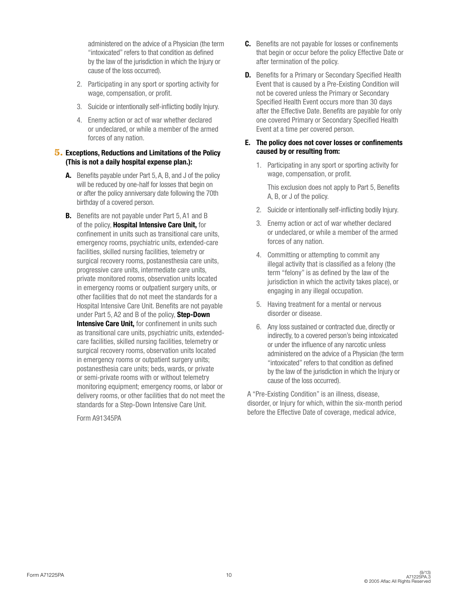administered on the advice of a Physician (the term "intoxicated" refers to that condition as defined by the law of the jurisdiction in which the Injury or cause of the loss occurred).

- 2. Participating in any sport or sporting activity for wage, compensation, or profit.
- 3. Suicide or intentionally self-inflicting bodily Injury.
- 4. Enemy action or act of war whether declared or undeclared, or while a member of the armed forces of any nation.

#### **5.** Exceptions, Reductions and Limitations of the Policy (This is not a daily hospital expense plan.):

- A. Benefits payable under Part 5, A, B, and J of the policy will be reduced by one-half for losses that begin on or after the policy anniversary date following the 70th birthday of a covered person.
- **B.** Benefits are not payable under Part 5, A1 and B of the policy, Hospital Intensive Care Unit, for confinement in units such as transitional care units, emergency rooms, psychiatric units, extended-care facilities, skilled nursing facilities, telemetry or surgical recovery rooms, postanesthesia care units, progressive care units, intermediate care units, private monitored rooms, observation units located in emergency rooms or outpatient surgery units, or other facilities that do not meet the standards for a Hospital Intensive Care Unit. Benefits are not payable under Part 5, A2 and B of the policy, Step-Down **Intensive Care Unit, for confinement in units such** as transitional care units, psychiatric units, extendedcare facilities, skilled nursing facilities, telemetry or surgical recovery rooms, observation units located in emergency rooms or outpatient surgery units; postanesthesia care units; beds, wards, or private or semi-private rooms with or without telemetry monitoring equipment; emergency rooms, or labor or delivery rooms, or other facilities that do not meet the standards for a Step-Down Intensive Care Unit.

Form A91345PA

- C. Benefits are not payable for losses or confinements that begin or occur before the policy Effective Date or after termination of the policy.
- **D.** Benefits for a Primary or Secondary Specified Health Event that is caused by a Pre-Existing Condition will not be covered unless the Primary or Secondary Specified Health Event occurs more than 30 days after the Effective Date. Benefits are payable for only one covered Primary or Secondary Specified Health Event at a time per covered person.

#### E. The policy does not cover losses or confinements caused by or resulting from:

1. Participating in any sport or sporting activity for wage, compensation, or profit.

This exclusion does not apply to Part 5, Benefits A, B, or J of the policy.

- 2. Suicide or intentionally self-inflicting bodily Injury.
- 3. Enemy action or act of war whether declared or undeclared, or while a member of the armed forces of any nation.
- 4. Committing or attempting to commit any illegal activity that is classified as a felony (the term "felony" is as defined by the law of the jurisdiction in which the activity takes place), or engaging in any illegal occupation.
- 5. Having treatment for a mental or nervous disorder or disease.
- 6. Any loss sustained or contracted due, directly or indirectly, to a covered person's being intoxicated or under the influence of any narcotic unless administered on the advice of a Physician (the term "intoxicated" refers to that condition as defined by the law of the jurisdiction in which the Injury or cause of the loss occurred).

A "Pre-Existing Condition" is an illness, disease, disorder, or Injury for which, within the six-month period before the Effective Date of coverage, medical advice,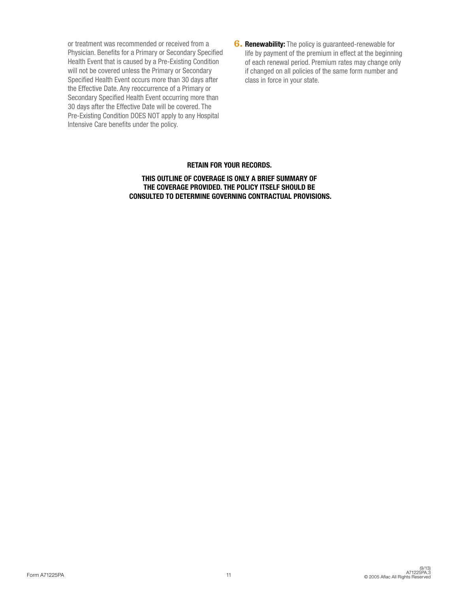or treatment was recommended or received from a Physician. Benefits for a Primary or Secondary Specified Health Event that is caused by a Pre-Existing Condition will not be covered unless the Primary or Secondary Specified Health Event occurs more than 30 days after the Effective Date. Any reoccurrence of a Primary or Secondary Specified Health Event occurring more than 30 days after the Effective Date will be covered. The Pre-Existing Condition DOES NOT apply to any Hospital Intensive Care benefits under the policy.

**6. Renewability:** The policy is guaranteed-renewable for life by payment of the premium in effect at the beginning of each renewal period. Premium rates may change only if changed on all policies of the same form number and class in force in your state.

#### RETAIN FOR YOUR RECORDS.

THIS OUTLINE OF COVERAGE IS ONLY A BRIEF SUMMARY OF THE COVERAGE PROVIDED. THE POLICY ITSELF SHOULD BE CONSULTED TO DETERMINE GOVERNING CONTRACTUAL PROVISIONS.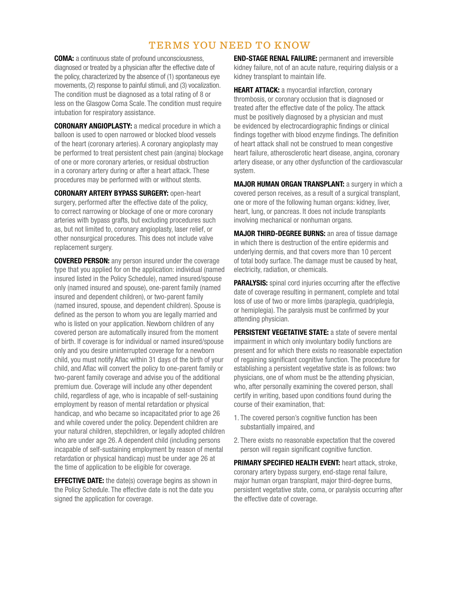## TERMS YOU NEED TO KNOW

COMA: a continuous state of profound unconsciousness, diagnosed or treated by a physician after the effective date of the policy, characterized by the absence of (1) spontaneous eye movements, (2) response to painful stimuli, and (3) vocalization. The condition must be diagnosed as a total rating of 8 or less on the Glasgow Coma Scale. The condition must require intubation for respiratory assistance.

CORONARY ANGIOPLASTY: a medical procedure in which a balloon is used to open narrowed or blocked blood vessels of the heart (coronary arteries). A coronary angioplasty may be performed to treat persistent chest pain (angina) blockage of one or more coronary arteries, or residual obstruction in a coronary artery during or after a heart attack. These procedures may be performed with or without stents.

CORONARY ARTERY BYPASS SURGERY: open-heart surgery, performed after the effective date of the policy, to correct narrowing or blockage of one or more coronary arteries with bypass grafts, but excluding procedures such as, but not limited to, coronary angioplasty, laser relief, or other nonsurgical procedures. This does not include valve replacement surgery.

COVERED PERSON: any person insured under the coverage type that you applied for on the application: individual (named insured listed in the Policy Schedule), named insured/spouse only (named insured and spouse), one-parent family (named insured and dependent children), or two-parent family (named insured, spouse, and dependent children). Spouse is defined as the person to whom you are legally married and who is listed on your application. Newborn children of any covered person are automatically insured from the moment of birth. If coverage is for individual or named insured/spouse only and you desire uninterrupted coverage for a newborn child, you must notify Aflac within 31 days of the birth of your child, and Aflac will convert the policy to one-parent family or two-parent family coverage and advise you of the additional premium due. Coverage will include any other dependent child, regardless of age, who is incapable of self-sustaining employment by reason of mental retardation or physical handicap, and who became so incapacitated prior to age 26 and while covered under the policy. Dependent children are your natural children, stepchildren, or legally adopted children who are under age 26. A dependent child (including persons incapable of self-sustaining employment by reason of mental retardation or physical handicap) must be under age 26 at the time of application to be eligible for coverage.

**EFFECTIVE DATE:** the date(s) coverage begins as shown in the Policy Schedule. The effective date is not the date you signed the application for coverage.

END-STAGE RENAL FAILURE: permanent and irreversible kidney failure, not of an acute nature, requiring dialysis or a kidney transplant to maintain life.

**HEART ATTACK:** a myocardial infarction, coronary thrombosis, or coronary occlusion that is diagnosed or treated after the effective date of the policy. The attack must be positively diagnosed by a physician and must be evidenced by electrocardiographic findings or clinical findings together with blood enzyme findings. The definition of heart attack shall not be construed to mean congestive heart failure, atherosclerotic heart disease, angina, coronary artery disease, or any other dysfunction of the cardiovascular system.

MAJOR HUMAN ORGAN TRANSPLANT: a surgery in which a covered person receives, as a result of a surgical transplant, one or more of the following human organs: kidney, liver, heart, lung, or pancreas. It does not include transplants involving mechanical or nonhuman organs.

MAJOR THIRD-DEGREE BURNS: an area of tissue damage in which there is destruction of the entire epidermis and underlying dermis, and that covers more than 10 percent of total body surface. The damage must be caused by heat, electricity, radiation, or chemicals.

**PARALYSIS:** spinal cord injuries occurring after the effective date of coverage resulting in permanent, complete and total loss of use of two or more limbs (paraplegia, quadriplegia, or hemiplegia). The paralysis must be confirmed by your attending physician.

**PERSISTENT VEGETATIVE STATE: a state of severe mental** impairment in which only involuntary bodily functions are present and for which there exists no reasonable expectation of regaining significant cognitive function. The procedure for establishing a persistent vegetative state is as follows: two physicians, one of whom must be the attending physician, who, after personally examining the covered person, shall certify in writing, based upon conditions found during the course of their examination, that:

- 1. The covered person's cognitive function has been substantially impaired, and
- 2. There exists no reasonable expectation that the covered person will regain significant cognitive function.

PRIMARY SPECIFIED HEALTH EVENT: heart attack, stroke, coronary artery bypass surgery, end-stage renal failure, major human organ transplant, major third-degree burns, persistent vegetative state, coma, or paralysis occurring after the effective date of coverage.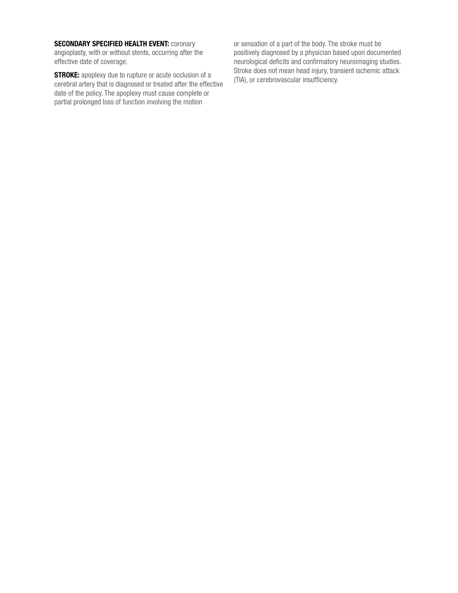#### **SECONDARY SPECIFIED HEALTH EVENT: COTONARY**

angioplasty, with or without stents, occurring after the effective date of coverage.

**STROKE:** apoplexy due to rupture or acute occlusion of a cerebral artery that is diagnosed or treated after the effective date of the policy. The apoplexy must cause complete or partial prolonged loss of function involving the motion

or sensation of a part of the body. The stroke must be positively diagnosed by a physician based upon documented neurological deficits and confirmatory neuroimaging studies. Stroke does not mean head injury, transient ischemic attack (TIA), or cerebrovascular insufficiency.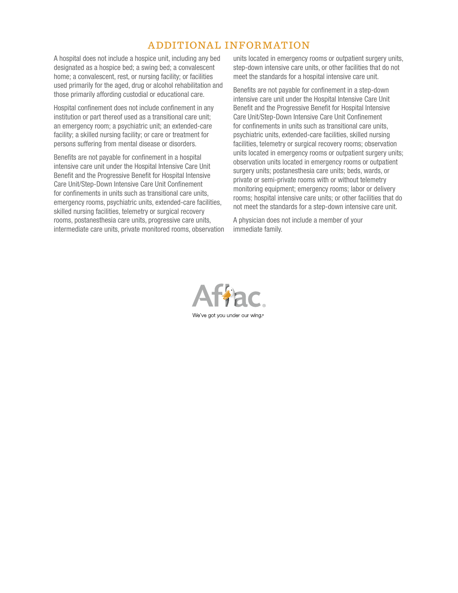# ADDITIONAL INFORMATION

A hospital does not include a hospice unit, including any bed designated as a hospice bed; a swing bed; a convalescent home; a convalescent, rest, or nursing facility; or facilities used primarily for the aged, drug or alcohol rehabilitation and those primarily affording custodial or educational care.

Hospital confinement does not include confinement in any institution or part thereof used as a transitional care unit; an emergency room; a psychiatric unit; an extended-care facility; a skilled nursing facility; or care or treatment for persons suffering from mental disease or disorders.

Benefits are not payable for confinement in a hospital intensive care unit under the Hospital Intensive Care Unit Benefit and the Progressive Benefit for Hospital Intensive Care Unit/Step-Down Intensive Care Unit Confinement for confinements in units such as transitional care units, emergency rooms, psychiatric units, extended-care facilities, skilled nursing facilities, telemetry or surgical recovery rooms, postanesthesia care units, progressive care units, intermediate care units, private monitored rooms, observation units located in emergency rooms or outpatient surgery units, step-down intensive care units, or other facilities that do not meet the standards for a hospital intensive care unit.

Benefits are not payable for confinement in a step-down intensive care unit under the Hospital Intensive Care Unit Benefit and the Progressive Benefit for Hospital Intensive Care Unit/Step-Down Intensive Care Unit Confinement for confinements in units such as transitional care units, psychiatric units, extended-care facilities, skilled nursing facilities, telemetry or surgical recovery rooms; observation units located in emergency rooms or outpatient surgery units; observation units located in emergency rooms or outpatient surgery units; postanesthesia care units; beds, wards, or private or semi-private rooms with or without telemetry monitoring equipment; emergency rooms; labor or delivery rooms; hospital intensive care units; or other facilities that do not meet the standards for a step-down intensive care unit.

A physician does not include a member of your immediate family.